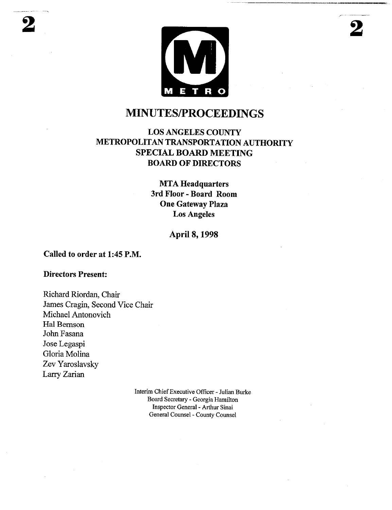

# **MINUTES/PROCEEDINGS**

## LOS ANGELES COUNTY METROPOLITAN TRANSPORTATION AUTHORITY SPECIAL BOARD MEETING BOARD OF DIRECTORS

**MTA Headquarters 3rd Floor- Board Room One Gateway Plaza Los Angeles**

## April 8, 1998

#### Called **to order at** 1:45 P.M.

#### **Directors Present:**

Richard Riordan, Chair James Cragin, Second Vice Chair Michael Antonovich Hal Bemson John Fasana Jose Legaspi Gloria Molina Zev Yaroslavsky Larry Zarian

> Interim Chief Executive Officer - Julian Burke Board Secretary - Georgia Hamilton Inspector General - Arthur Sinai General Counsel - County Counsel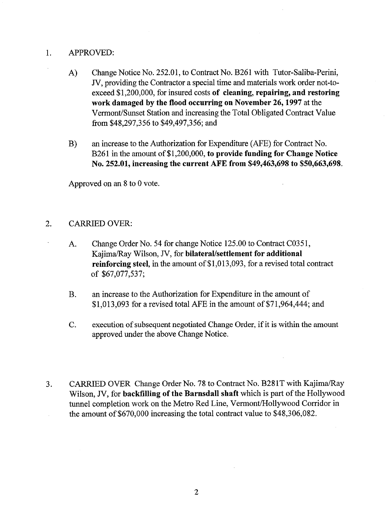## 1. APPROVED:

- A) Change Notice No. 252.01, to Contract No. B261 with Tutor-Saliba-Perini, JV, providing the Contractor a special time and materials work order not-toexceed \$1,200,000, for insured costs of **cleaning, repairing, and restoring** work damaged by the flood **occurring on November 26,** 1997 at the Vermont/Sunset Station and increasing the Total Obligated Contract Value from \$48,297,356 to \$49,497,356; and
- $B)$ an increase to the Authorization for Expenditure (AFE) for Contract No. B261 in the amount of \$1,200,000, **to provide funding for Change Notice No. 252.01, increasing the current AFE from \$49,463,698 to \$50,663,698.**

Approved on an 8 to 0 vote.

## 2. CARRIED OVER:

- A. Change Order No. 54 for change Notice 125.00 to Contract C0351, Kajima/Ray Wilson, JV, for **bilateral/settlement for additional reinforcing steel,** in the amount of \$1,013,093, for a revised total contract of \$67,077,537;
- **B.** an increase to the Authorization for Expenditure in the amount of \$1,013,093 for a revised total AFE in the amount of \$71,964,444; and
- execution of subsequent negotiated Change Order, if it is within the amount  $C_{\cdot}$ approved under the above Change Notice.
- CARRIED OVER Change Order No. 78 to Contract No. B281T with Kajima/Ray 3. Wilson, JV, for backfilling of **the Barnsdall shaft** which is part of the Hollywood tunnel completion work on the Metro Red Line, Vermont/Hollywood Corridor in the amount of \$670,000 increasing the total contract value to \$48,306,082.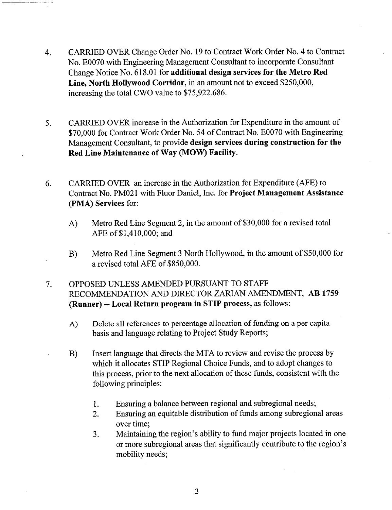- CARRIED OVER Change Order No. 19 to Contract Work Order No. 4 to Contract 4. No. E0070 with Engineering Management Consultant to incorporate Consultant Change Notice No. 618.01 for **additional design services for the Metro Red Line, North Hollywood Corridor,** in an amount not to exceed \$250,000, increasing the total CWO value to \$75,922,686.
- CARRIED OVER increase in the Authorization for Expenditure in the amount of 5. \$70,000 for Contract Work Order No. 54 of Contract No. E0070 with Engineering Management Consultant, to provide **design services during construction for the Red Line Maintenance of Way (MOW) Facility.**
- CARRIED OVER an increase in the Authorization for Expenditure (AFE) 6. Contract No. PM021 with Fluor Daniel, Inc. for **Project Management Assistance** (PMA) **Services** for:
	- A) Metro Red Line Segment 2, in the amount of \$30,000 for a revised total AFE of \$1,410,000; and
	- **B)** Metro Red Line Segment 3 North Hollywood, in the amount of \$50,000 for a revised total AFE of \$850,000.
- $7.$ OPPOSED UNLESS AMENDED PURSUANT TO STAFF RECOMMENDATION AND DIRECTOR ZARIAN AMENDMENT, AB 1759 **(Runner) -- Local Return program in** STIP process, as follows:
	- Delete all references to percentage allocation of funding on a per capita A) basis and language relating to Project Study Reports;
	- Insert language that directs the MTA to review and revise the process by B) which it allocates STIP Regional Choice Funds, and to adopt changes to this process, prior to the next allocation of these funds, consistent with the following principles:
		- Ensuring a balance between regional and subregional needs; 1.
		- Ensuring an equitable distribution of funds among subregional areas  $2.$ over time;
		- Maintaining the region's ability to fund major projects located in one 3. or more subregional areas that significantly contribute to the region's mobility needs;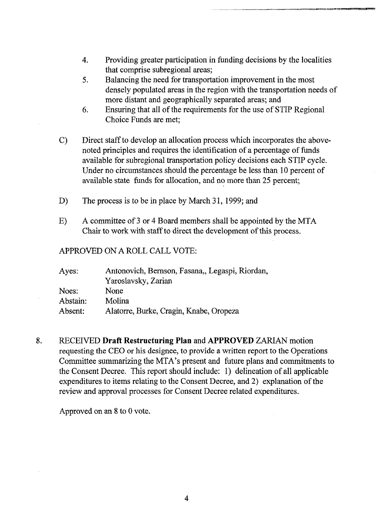- 4. Providing greater participation in funding decisions by the localities that comprise subregional areas;
- 5. Balancing the need for transportation improvement in the most densely populated areas in the region with the transportation needs of more distant and geographically separated areas; and
- 6. Ensuring that all of the requirements for the use of STIP Regional Choice Funds are met;
- c) Direct staffto develop an allocation process which incorporates the abovenoted principles and requires the identification of a percentage of funds available for subregional transportation policy decisions each STIP cycle. Under no circumstances should the percentage be less than 10 percent of available state funds for allocation, and no more than 25 percent;
- D) The process is to be in place by March 31, 1999; and
- **E)** A committee of 3 or 4 Board members shall be appointed by the MTA Chair to work with staff to direct the development of this process.

### APPROVED ON A ROLL CALL VOTE:

| Ayes:    | Antonovich, Bernson, Fasana,, Legaspi, Riordan, |
|----------|-------------------------------------------------|
|          | Yaroslavsky, Zarian                             |
| Noes:    | None                                            |
| Abstain: | Molina                                          |
| Absent:  | Alatorre, Burke, Cragin, Knabe, Oropeza         |

8. RECEIVED **Draft Restructuring** Plan and APPROVED ZARIAN motion requesting the CEO or his designee, to provide a written report to the Operations Committee summarizing the MTA's present and future plans and commitments to the Consent Decree. This report should include: I) delineation of all applicable expenditures to items relating to the Consent Decree, and 2) explanation of the review and approval processes for Consent Decree related expenditures.

Approved on an 8 to 0 vote.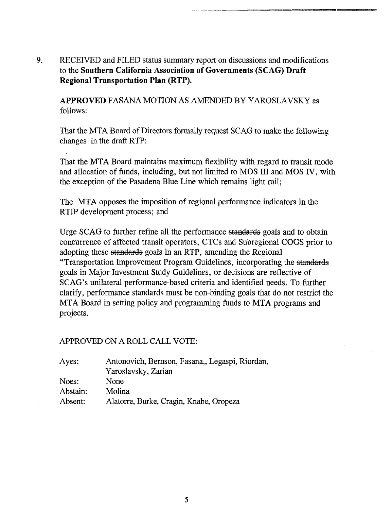9. RECEIVED and FILED status summary report on discussions and modifications **to the Southern California Association of Governments (SCAG) Draft Regional Transportation Plan (RTP).**

APPROVED FASANA MOTION AS AMENDED BY YAROSLAVSKY as follows:

That the MTA Board of Directors formally request SCAG to make the following changes in the draft RTP:

That the MTA Board maintains maximum flexibility with regard to transit mode and allocation of funds, including, but not limited to MOS III and MOS IV, with the exception of the Pasadena Blue Line which remains light rail;

The MTA opposes the imposition of regional performance indicators in the RTIP development process; and

Urge SCAG to further refine all the performance standards goals and to obtain concurrence of affected transit operators, CTCs and Subregional COGS prior to adopting these standards goals in an RTP, amending the Regional "Transportation Improvement Program Guidelines, incorporating the goals in Major Investment Study Guidelines, or decisions are reflective of SCAG's unilateral performance-based criteria and identified needs. To further clarify, performance standards must be non-binding goals that do not restrict the MTA Board in setting policy and programming funds to MTA programs and projects.

#### APPROVED ON A ROLL CALL VOTE:

| Ayes:    | Antonovich, Bernson, Fasana,, Legaspi, Riordan, |
|----------|-------------------------------------------------|
|          | Yaroslavsky, Zarian                             |
| Noes:    | None                                            |
| Abstain: | Molina                                          |
| Absent:  | Alatorre, Burke, Cragin, Knabe, Oropeza         |